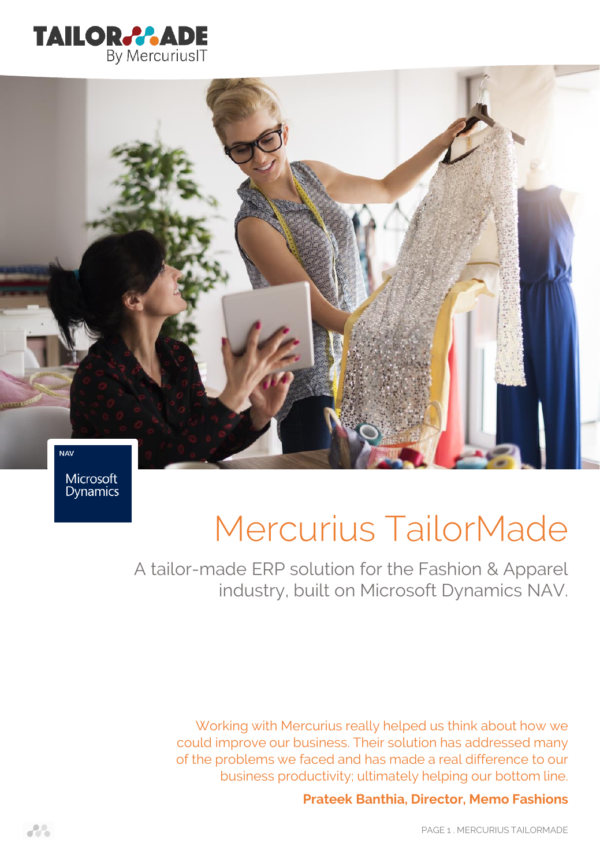



Microsoft **Dynamics** 

# Mercurius TailorMade

A tailor-made ERP solution for the Fashion & Apparel industry, built on Microsoft Dynamics NAV.

Working with Mercurius really helped us think about how we could improve our business. Their solution has addressed many of the problems we faced and has made a real difference to our business productivity; ultimately helping our bottom line.

# **Prateek Banthia, Director, Memo Fashions**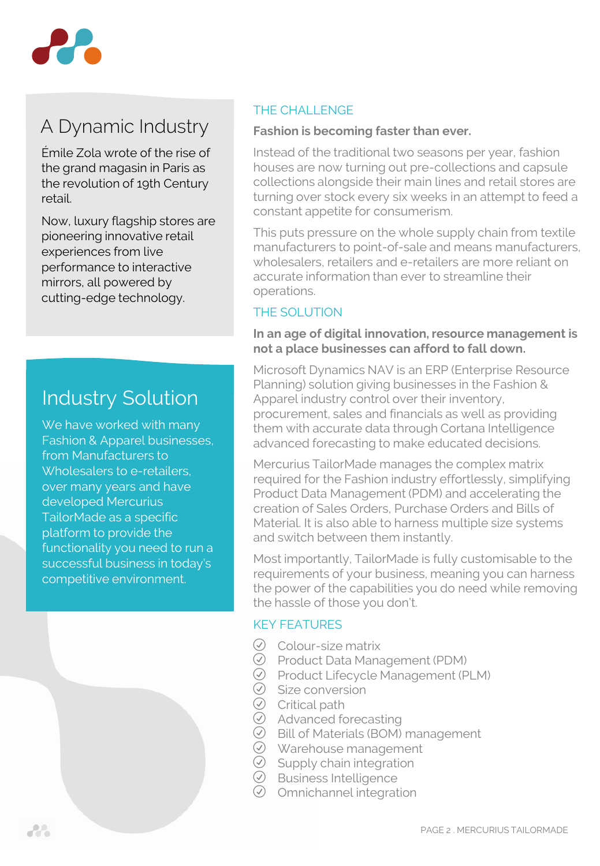

# A Dynamic Industry

Émile Zola wrote of the rise of the grand magasin in Paris as the revolution of 19th Century retail.

Now, luxury flagship stores are pioneering innovative retail experiences from live performance to interactive mirrors, all powered by cutting-edge technology.

# Industry Solution

We have worked with many Fashion & Apparel businesses, from Manufacturers to Wholesalers to e-retailers, over many years and have developed Mercurius TailorMade as a specific platform to provide the functionality you need to run a successful business in today's competitive environment.

# THE CHALL ENGE

### **Fashion is becoming faster than ever.**

Instead of the traditional two seasons per year, fashion houses are now turning out pre-collections and capsule collections alongside their main lines and retail stores are turning over stock every six weeks in an attempt to feed a constant appetite for consumerism.

This puts pressure on the whole supply chain from textile manufacturers to point-of-sale and means manufacturers, wholesalers, retailers and e-retailers are more reliant on accurate information than ever to streamline their operations.

# THE SOLUTION

#### **In an age of digital innovation, resource management is not a place businesses can afford to fall down.**

Microsoft Dynamics NAV is an ERP (Enterprise Resource Planning) solution giving businesses in the Fashion & Apparel industry control over their inventory, procurement, sales and financials as well as providing them with accurate data through Cortana Intelligence advanced forecasting to make educated decisions.

Mercurius TailorMade manages the complex matrix required for the Fashion industry effortlessly, simplifying Product Data Management (PDM) and accelerating the creation of Sales Orders, Purchase Orders and Bills of Material. It is also able to harness multiple size systems and switch between them instantly.

Most importantly, TailorMade is fully customisable to the requirements of your business, meaning you can harness the power of the capabilities you do need while removing the hassle of those you don't.

# KEY FEATURES

- $\oslash$  Colour-size matrix
- $\oslash$  Product Data Management (PDM)
- R Product Lifecycle Management (PLM)
- $\oslash$  Size conversion
- $\overline{\odot}$  Critical path
- $\odot$  Advanced forecasting
- $\oslash$  Bill of Materials (BOM) management
- $\oslash$  Warehouse management
- $\oslash$  Supply chain integration
- $\oslash$  Business Intelligence
- $\oslash$  Omnichannel integration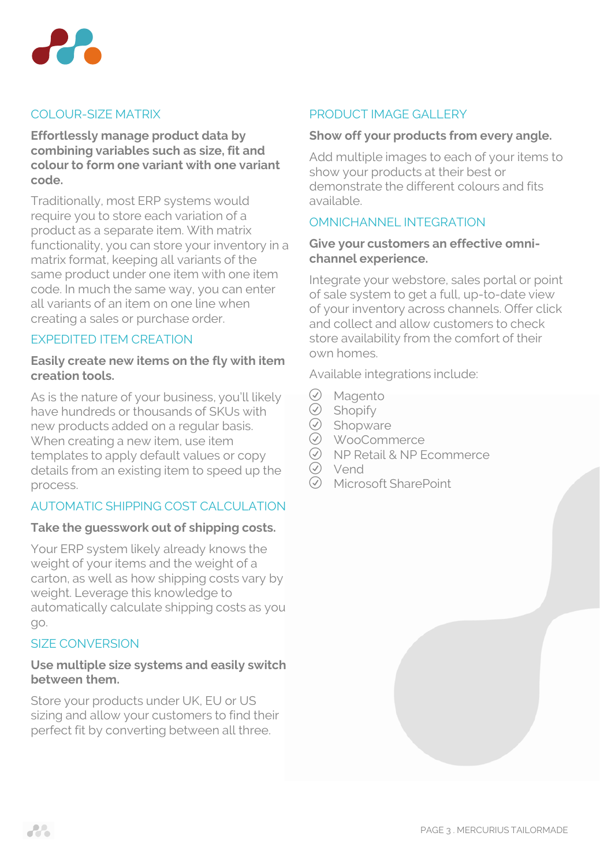

# COLOUR-SIZE MATRIX

**Effortlessly manage product data by combining variables such as size, fit and colour to form one variant with one variant code.**

Traditionally, most ERP systems would require you to store each variation of a product as a separate item. With matrix functionality, you can store your inventory in a matrix format, keeping all variants of the same product under one item with one item code. In much the same way, you can enter all variants of an item on one line when creating a sales or purchase order.

# EXPEDITED ITEM CREATION

#### **Easily create new items on the fly with item creation tools.**

As is the nature of your business, you'll likely have hundreds or thousands of SKUs with new products added on a regular basis. When creating a new item, use item templates to apply default values or copy details from an existing item to speed up the process.

# AUTOMATIC SHIPPING COST CALCULATION

#### **Take the guesswork out of shipping costs.**

Your ERP system likely already knows the weight of your items and the weight of a carton, as well as how shipping costs vary by weight. Leverage this knowledge to automatically calculate shipping costs as you go.

# SIZE CONVERSION

#### **Use multiple size systems and easily switch between them.**

Store your products under UK, EU or US sizing and allow your customers to find their perfect fit by converting between all three.

# PRODUCT IMAGE GALLERY

#### **Show off your products from every angle.**

Add multiple images to each of your items to show your products at their best or demonstrate the different colours and fits available.

### OMNICHANNEL INTEGRATION

#### **Give your customers an effective omnichannel experience.**

Integrate your webstore, sales portal or point of sale system to get a full, up-to-date view of your inventory across channels. Offer click and collect and allow customers to check store availability from the comfort of their own homes.

Available integrations include:

- $\oslash$  Magento
- $\overline{\odot}$  Shopify
- $\oslash$  Shopware
- R WooCommerce
- $\oslash$  NP Retail & NP Ecommerce
- **⊘** Vend
- R Microsoft SharePoint